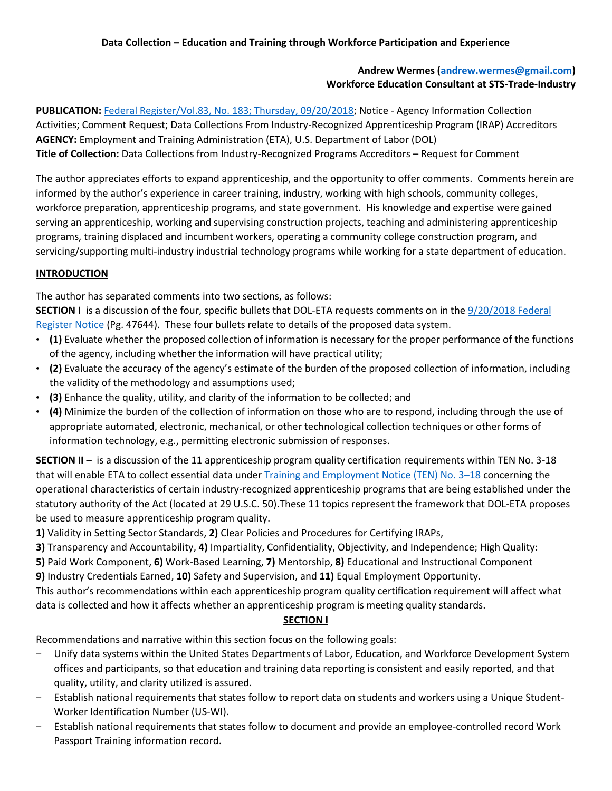## **Andrew Wermes (andrew.wermes@gmail.com) Workforce Education Consultant at STS-Trade-Industry**

**PUBLICATION:** [Federal Register/Vol.83, No. 183; Thursday, 09/20/2018;](https://www.gpo.gov/fdsys/pkg/FR-2018-09-20/pdf/2018-20436.pdf) Notice - Agency Information Collection Activities; Comment Request; Data Collections From Industry-Recognized Apprenticeship Program (IRAP) Accreditors **AGENCY:** Employment and Training Administration (ETA), U.S. Department of Labor (DOL) **Title of Collection:** Data Collections from Industry-Recognized Programs Accreditors – Request for Comment

The author appreciates efforts to expand apprenticeship, and the opportunity to offer comments. Comments herein are informed by the author's experience in career training, industry, working with high schools, community colleges, workforce preparation, apprenticeship programs, and state government. His knowledge and expertise were gained serving an apprenticeship, working and supervising construction projects, teaching and administering apprenticeship programs, training displaced and incumbent workers, operating a community college construction program, and servicing/supporting multi-industry industrial technology programs while working for a state department of education.

## **INTRODUCTION**

The author has separated comments into two sections, as follows:

**SECTION I** is a discussion of the four, specific bullets that DOL-ETA requests comments on in the [9/20/2018 Federal](https://www.gpo.gov/fdsys/pkg/FR-2018-09-20/pdf/2018-20436.pdf)  [Register Notice](https://www.gpo.gov/fdsys/pkg/FR-2018-09-20/pdf/2018-20436.pdf) (Pg. 47644). These four bullets relate to details of the proposed data system.

- **(1)** Evaluate whether the proposed collection of information is necessary for the proper performance of the functions of the agency, including whether the information will have practical utility;
- **(2)** Evaluate the accuracy of the agency's estimate of the burden of the proposed collection of information, including the validity of the methodology and assumptions used;
- **(3)** Enhance the quality, utility, and clarity of the information to be collected; and
- **(4)** Minimize the burden of the collection of information on those who are to respond, including through the use of appropriate automated, electronic, mechanical, or other technological collection techniques or other forms of information technology, e.g., permitting electronic submission of responses.

**SECTION II** – is a discussion of the 11 apprenticeship program quality certification requirements within TEN No. 3-18 that will enable ETA to collect essential data under *Training and Employment Notice* (TEN) No. 3-18 concerning the operational characteristics of certain industry-recognized apprenticeship programs that are being established under the statutory authority of the Act (located at 29 U.S.C. 50).These 11 topics represent the framework that DOL-ETA proposes be used to measure apprenticeship program quality.

**1)** Validity in Setting Sector Standards, **2)** Clear Policies and Procedures for Certifying IRAPs,

**3)** Transparency and Accountability, **4)** Impartiality, Confidentiality, Objectivity, and Independence; High Quality:

**5)** Paid Work Component, **6)** Work-Based Learning, **7)** Mentorship, **8)** Educational and Instructional Component **9)** Industry Credentials Earned, **10)** Safety and Supervision, and **11)** Equal Employment Opportunity.

This author's recommendations within each apprenticeship program quality certification requirement will affect what data is collected and how it affects whether an apprenticeship program is meeting quality standards.

# **SECTION I**

Recommendations and narrative within this section focus on the following goals:

- ‒ Unify data systems within the United States Departments of Labor, Education, and Workforce Development System offices and participants, so that education and training data reporting is consistent and easily reported, and that quality, utility, and clarity utilized is assured.
- ‒ Establish national requirements that states follow to report data on students and workers using a Unique Student-Worker Identification Number (US-WI).
- ‒ Establish national requirements that states follow to document and provide an employee-controlled record Work Passport Training information record.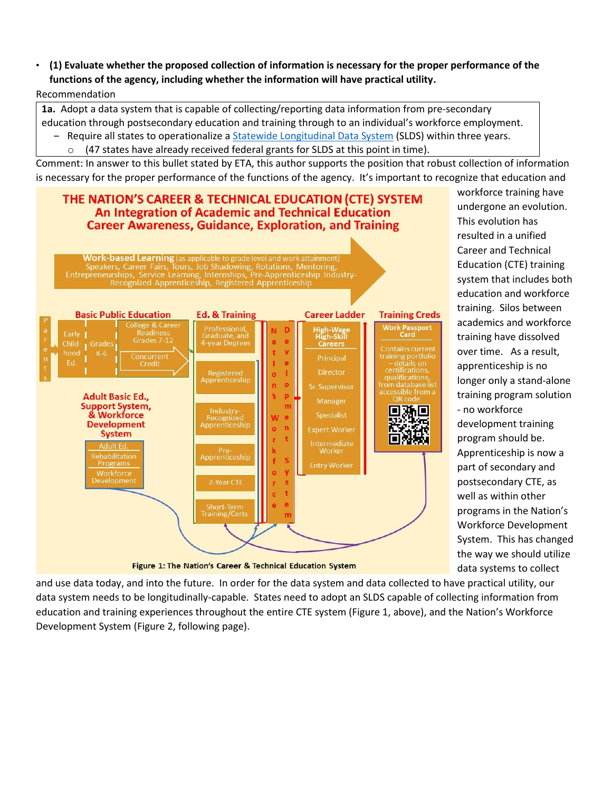• **(1) Evaluate whether the proposed collection of information is necessary for the proper performance of the functions of the agency, including whether the information will have practical utility.** Recommendation

**1a.** Adopt a data system that is capable of collecting/reporting data information from pre-secondary education through postsecondary education and training through to an individual's workforce employment.

- Require all states to operationalize a [Statewide Longitudinal Data System](https://nces.ed.gov/programs/slds/about_SLDS.asp) (SLDS) within three years. (47 states have already received federal grants for SLDS at this point in time).

Comment: In answer to this bullet stated by ETA, this author supports the position that robust collection of information is necessary for the proper performance of the functions of the agency. It's important to recognize that education and

# THE NATION'S CAREER & TECHNICAL EDUCATION (CTE) SYSTEM **An Integration of Academic and Technical Education Career Awareness, Guidance, Exploration, and Training**

Work-based Learning (as applicable to grade level and work attainment)



workforce training have undergone an evolution. This evolution has resulted in a unified Career and Technical Education (CTE) training system that includes both education and workforce training. Silos between academics and workforce training have dissolved over time. As a result, apprenticeship is no longer only a stand-alone training program solution - no workforce development training program should be. Apprenticeship is now a part of secondary and postsecondary CTE, as well as within other programs in the Nation's Workforce Development System. This has changed the way we should utilize data systems to collect

and use data today, and into the future. In order for the data system and data collected to have practical utility, our data system needs to be longitudinally-capable. States need to adopt an SLDS capable of collecting information from education and training experiences throughout the entire CTE system (Figure 1, above), and the Nation's Workforce Development System (Figure 2, following page).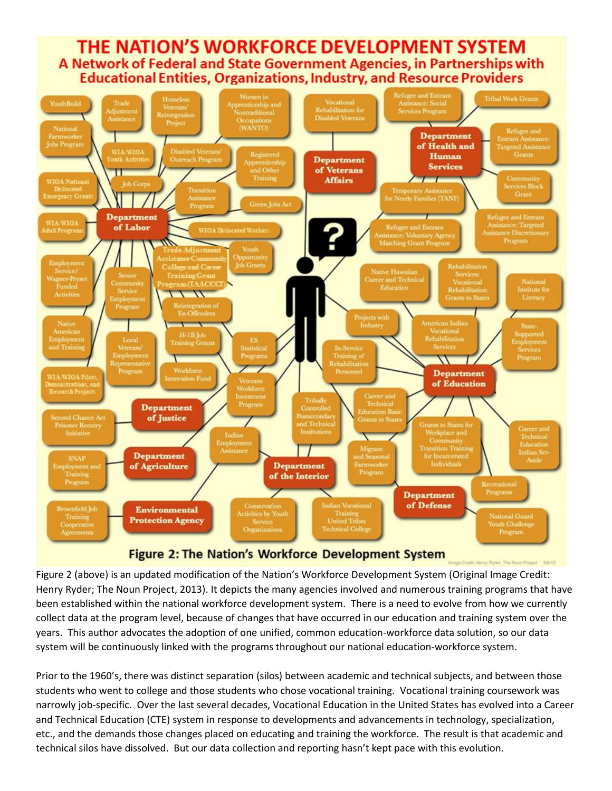# THE NATION'S WORKFORCE DEVELOPMENT SYSTEM A Network of Federal and State Government Agencies, in Partnerships with **Educational Entities, Organizations, Industry, and Resource Providers**



Figure 2 (above) is an updated modification of the Nation's Workforce Development System (Original Image Credit: Henry Ryder; The Noun Project, 2013). It depicts the many agencies involved and numerous training programs that have been established within the national workforce development system. There is a need to evolve from how we currently collect data at the program level, because of changes that have occurred in our education and training system over the years. This author advocates the adoption of one unified, common education-workforce data solution, so our data system will be continuously linked with the programs throughout our national education-workforce system.

y Ryder, The Noun Project 3/8/13

Prior to the 1960's, there was distinct separation (silos) between academic and technical subjects, and between those students who went to college and those students who chose vocational training. Vocational training coursework was narrowly job-specific. Over the last several decades, Vocational Education in the United States has evolved into a Career and Technical Education (CTE) system in response to developments and advancements in technology, specialization, etc., and the demands those changes placed on educating and training the workforce. The result is that academic and technical silos have dissolved. But our data collection and reporting hasn't kept pace with this evolution.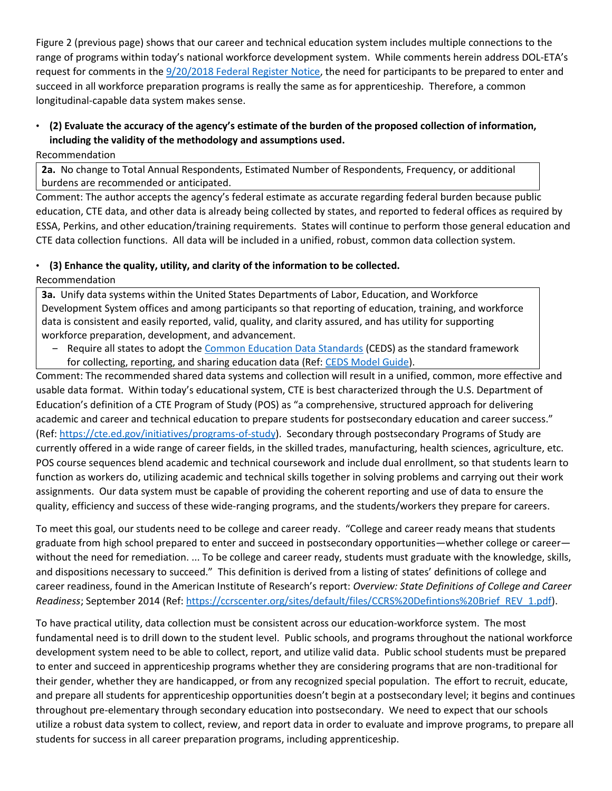Figure 2 (previous page) shows that our career and technical education system includes multiple connections to the range of programs within today's national workforce development system. While comments herein address DOL-ETA's request for comments in the [9/20/2018 Federal Register Notice,](https://www.gpo.gov/fdsys/pkg/FR-2018-09-20/pdf/2018-20436.pdf) the need for participants to be prepared to enter and succeed in all workforce preparation programs is really the same as for apprenticeship. Therefore, a common longitudinal-capable data system makes sense.

# • **(2) Evaluate the accuracy of the agency's estimate of the burden of the proposed collection of information, including the validity of the methodology and assumptions used.**

Recommendation

**2a.** No change to Total Annual Respondents, Estimated Number of Respondents, Frequency, or additional burdens are recommended or anticipated.

Comment: The author accepts the agency's federal estimate as accurate regarding federal burden because public education, CTE data, and other data is already being collected by states, and reported to federal offices as required by ESSA, Perkins, and other education/training requirements. States will continue to perform those general education and CTE data collection functions. All data will be included in a unified, robust, common data collection system.

## • **(3) Enhance the quality, utility, and clarity of the information to be collected.**

Recommendation

**3a.** Unify data systems within the United States Departments of Labor, Education, and Workforce Development System offices and among participants so that reporting of education, training, and workforce data is consistent and easily reported, valid, quality, and clarity assured, and has utility for supporting workforce preparation, development, and advancement.

- Require all states to adopt the [Common Education Data Standards](https://ceds.ed.gov/Default.aspx) (CEDS) as the standard framework for collecting, reporting, and sharing education data (Ref[: CEDS Model Guide\)](https://ceds.ed.gov/pdf/CEDS-7-0-Data-Model-Guide_for_508.pdf).

Comment: The recommended shared data systems and collection will result in a unified, common, more effective and usable data format. Within today's educational system, CTE is best characterized through the U.S. Department of Education's definition of a CTE Program of Study (POS) as "a comprehensive, structured approach for delivering academic and career and technical education to prepare students for postsecondary education and career success." (Ref[: https://cte.ed.gov/initiatives/programs-of-study\)](https://cte.ed.gov/initiatives/programs-of-study). Secondary through postsecondary Programs of Study are currently offered in a wide range of career fields, in the skilled trades, manufacturing, health sciences, agriculture, etc. POS course sequences blend academic and technical coursework and include dual enrollment, so that students learn to function as workers do, utilizing academic and technical skills together in solving problems and carrying out their work assignments. Our data system must be capable of providing the coherent reporting and use of data to ensure the quality, efficiency and success of these wide-ranging programs, and the students/workers they prepare for careers.

To meet this goal, our students need to be college and career ready. "College and career ready means that students graduate from high school prepared to enter and succeed in postsecondary opportunities—whether college or career without the need for remediation. ... To be college and career ready, students must graduate with the knowledge, skills, and dispositions necessary to succeed." This definition is derived from a listing of states' definitions of college and career readiness, found in the American Institute of Research's report: *Overview: State Definitions of College and Career Readiness*; September 2014 (Ref: [https://ccrscenter.org/sites/default/files/CCRS%20Defintions%20Brief\\_REV\\_1.pdf\)](https://ccrscenter.org/sites/default/files/CCRS%20Defintions%20Brief_REV_1.pdf).

To have practical utility, data collection must be consistent across our education-workforce system. The most fundamental need is to drill down to the student level. Public schools, and programs throughout the national workforce development system need to be able to collect, report, and utilize valid data. Public school students must be prepared to enter and succeed in apprenticeship programs whether they are considering programs that are non-traditional for their gender, whether they are handicapped, or from any recognized special population. The effort to recruit, educate, and prepare all students for apprenticeship opportunities doesn't begin at a postsecondary level; it begins and continues throughout pre-elementary through secondary education into postsecondary. We need to expect that our schools utilize a robust data system to collect, review, and report data in order to evaluate and improve programs, to prepare all students for success in all career preparation programs, including apprenticeship.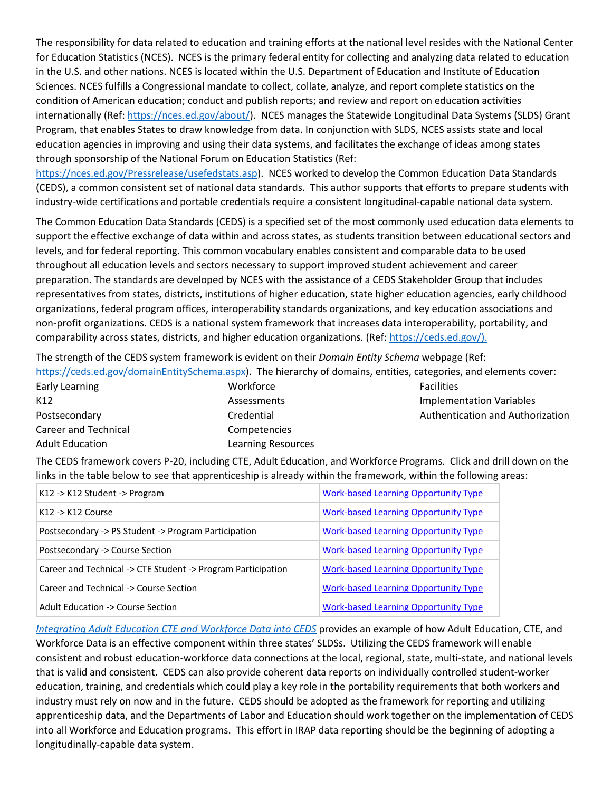The responsibility for data related to education and training efforts at the national level resides with the National Center for Education Statistics (NCES). NCES is the primary federal entity for collecting and analyzing data related to education in the U.S. and other nations. NCES is located within the U.S. Department of Education and Institute of Education Sciences. NCES fulfills a Congressional mandate to collect, collate, analyze, and report complete statistics on the condition of American education; conduct and publish reports; and review and report on education activities internationally (Ref[: https://nces.ed.gov/about/\)](https://nces.ed.gov/about/). NCES manages the Statewide Longitudinal Data Systems (SLDS) Grant Program, that enables States to draw knowledge from data. In conjunction with SLDS, NCES assists state and local education agencies in improving and using their data systems, and facilitates the exchange of ideas among states through sponsorship of the National Forum on Education Statistics (Ref:

[https://nces.ed.gov/Pressrelease/usefedstats.asp\)](https://nces.ed.gov/Pressrelease/usefedstats.asp). NCES worked to develop the Common Education Data Standards (CEDS), a common consistent set of national data standards. This author supports that efforts to prepare students with industry-wide certifications and portable credentials require a consistent longitudinal-capable national data system.

The Common Education Data Standards (CEDS) is a specified set of the most commonly used education data elements to support the effective exchange of data within and across states, as students transition between educational sectors and levels, and for federal reporting. This common vocabulary enables consistent and comparable data to be used throughout all education levels and sectors necessary to support improved student achievement and career preparation. The standards are developed by NCES with the assistance of a CEDS Stakeholder Group that includes representatives from states, districts, institutions of higher education, state higher education agencies, early childhood organizations, federal program offices, interoperability standards organizations, and key education associations and non-profit organizations. CEDS is a national system framework that increases data interoperability, portability, and comparability across states, districts, and higher education organizations. (Ref[: https://ceds.ed.gov/\)](https://ceds.ed.gov/).

The strength of the CEDS system framework is evident on their *Domain Entity Schema* webpage (Ref: [https://ceds.ed.gov/domainEntitySchema.aspx\)](https://ceds.ed.gov/domainEntitySchema.aspx). The hierarchy of domains, entities, categories, and elements cover:

| Thups.//ceus.eu.gov/ubinamentity3chema.aspx). The merarchy or ubinams, entities, categories, and elements cover |                           |                                  |
|-----------------------------------------------------------------------------------------------------------------|---------------------------|----------------------------------|
| Early Learning                                                                                                  | Workforce                 | <b>Facilities</b>                |
| K12                                                                                                             | Assessments               | <b>Implementation Variables</b>  |
| Postsecondary                                                                                                   | Credential                | Authentication and Authorization |
| Career and Technical                                                                                            | Competencies              |                                  |
| <b>Adult Education</b>                                                                                          | <b>Learning Resources</b> |                                  |

The CEDS framework covers P-20, including CTE, Adult Education, and Workforce Programs. Click and drill down on the links in the table below to see that apprenticeship is already within the framework, within the following areas:

| K12 -> K12 Student -> Program                                | <b>Work-based Learning Opportunity Type</b> |
|--------------------------------------------------------------|---------------------------------------------|
| $K12 - K12$ Course                                           | <b>Work-based Learning Opportunity Type</b> |
| Postsecondary -> PS Student -> Program Participation         | <b>Work-based Learning Opportunity Type</b> |
| Postsecondary -> Course Section                              | <b>Work-based Learning Opportunity Type</b> |
| Career and Technical -> CTE Student -> Program Participation | <b>Work-based Learning Opportunity Type</b> |
| Career and Technical -> Course Section                       | <b>Work-based Learning Opportunity Type</b> |
| Adult Education -> Course Section                            | <b>Work-based Learning Opportunity Type</b> |

*[Integrating Adult Education CTE and Workforce Data into CEDS](https://ceds.ed.gov/PDFViewer.aspx?pdfFile=pdf/ceds-integrating-adult-education.pdf&category=%22Integrating%20Adult%20Education,%20Career%20Technical%20Education,%20and%20Workforce%20Data%20into%20CEDS%22)* provides an example of how Adult Education, CTE, and Workforce Data is an effective component within three states' SLDSs. Utilizing the CEDS framework will enable consistent and robust education-workforce data connections at the local, regional, state, multi-state, and national levels that is valid and consistent. CEDS can also provide coherent data reports on individually controlled student-worker education, training, and credentials which could play a key role in the portability requirements that both workers and industry must rely on now and in the future. CEDS should be adopted as the framework for reporting and utilizing apprenticeship data, and the Departments of Labor and Education should work together on the implementation of CEDS into all Workforce and Education programs. This effort in IRAP data reporting should be the beginning of adopting a longitudinally-capable data system.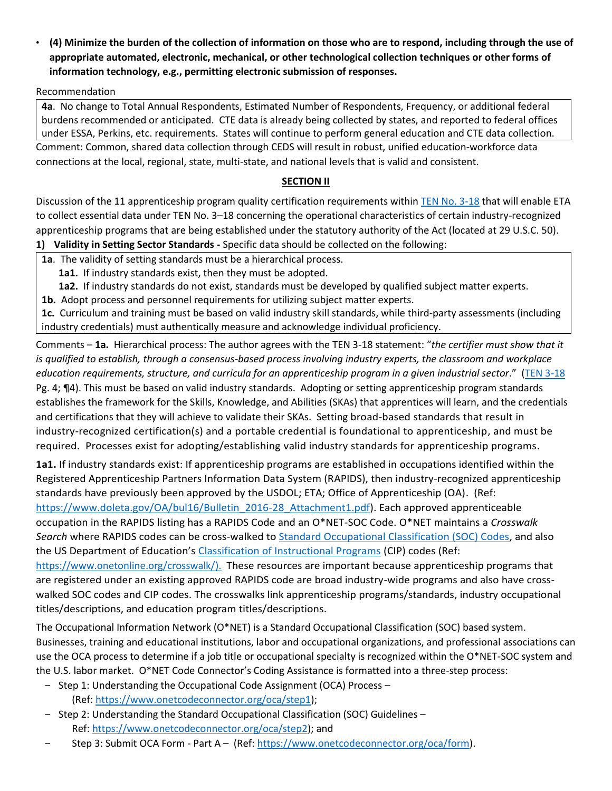• **(4) Minimize the burden of the collection of information on those who are to respond, including through the use of appropriate automated, electronic, mechanical, or other technological collection techniques or other forms of information technology, e.g., permitting electronic submission of responses.**

## Recommendation

**4a**. No change to Total Annual Respondents, Estimated Number of Respondents, Frequency, or additional federal burdens recommended or anticipated. CTE data is already being collected by states, and reported to federal offices under ESSA, Perkins, etc. requirements. States will continue to perform general education and CTE data collection. Comment: Common, shared data collection through CEDS will result in robust, unified education-workforce data connections at the local, regional, state, multi-state, and national levels that is valid and consistent.

## **SECTION II**

Discussion of the 11 apprenticeship program quality certification requirements within [TEN No. 3-18](https://wdr.doleta.gov/directives/corr_doc.cfm?docn=5367) that will enable ETA to collect essential data under TEN No. 3–18 concerning the operational characteristics of certain industry-recognized apprenticeship programs that are being established under the statutory authority of the Act (located at 29 U.S.C. 50). **1) Validity in Setting Sector Standards -** Specific data should be collected on the following:

**1a**. The validity of setting standards must be a hierarchical process.

**1a1.** If industry standards exist, then they must be adopted.

**1a2.** If industry standards do not exist, standards must be developed by qualified subject matter experts.

**1b.** Adopt process and personnel requirements for utilizing subject matter experts.

**1c.** Curriculum and training must be based on valid industry skill standards, while third-party assessments (including industry credentials) must authentically measure and acknowledge individual proficiency.

Comments – **1a.** Hierarchical process: The author agrees with the TEN 3-18 statement: "*the certifier must show that it is qualified to establish, through a consensus-based process involving industry experts, the classroom and workplace education requirements, structure, and curricula for an apprenticeship program in a given industrial sector*." [\(TEN 3-18](https://wdr.doleta.gov/directives/corr_doc.cfm?docn=5367) Pg. 4; ¶4). This must be based on valid industry standards. Adopting or setting apprenticeship program standards establishes the framework for the Skills, Knowledge, and Abilities (SKAs) that apprentices will learn, and the credentials and certifications that they will achieve to validate their SKAs. Setting broad-based standards that result in industry-recognized certification(s) and a portable credential is foundational to apprenticeship, and must be required. Processes exist for adopting/establishing valid industry standards for apprenticeship programs.

**1a1.** If industry standards exist: If apprenticeship programs are established in occupations identified within the Registered Apprenticeship Partners Information Data System (RAPIDS), then industry-recognized apprenticeship standards have previously been approved by the USDOL; ETA; Office of Apprenticeship (OA). (Ref:

[https://www.doleta.gov/OA/bul16/Bulletin\\_2016-28\\_Attachment1.pdf\)](https://www.doleta.gov/OA/bul16/Bulletin_2016-28_Attachment1.pdf). Each approved apprenticeable occupation in the RAPIDS listing has a RAPIDS Code and an O\*NET-SOC Code. O\*NET maintains a *Crosswalk Search* where RAPIDS codes can be cross-walked to [Standard Occupational Classification \(SOC\) Codes,](https://www.bls.gov/soc/2018/soc_2018_manual.pdf) and also the US Department of Education's [Classification of Instructional Programs](https://nces.ed.gov/ipeds/cipcode/files/introduction_cip2010.pdf) (CIP) codes (Ref:

[https://www.onetonline.org/crosswalk/\)](https://www.onetonline.org/crosswalk/). These resources are important because apprenticeship programs that are registered under an existing approved RAPIDS code are broad industry-wide programs and also have crosswalked SOC codes and CIP codes. The crosswalks link apprenticeship programs/standards, industry occupational titles/descriptions, and education program titles/descriptions.

The Occupational Information Network (O\*NET) is a Standard Occupational Classification (SOC) based system. Businesses, training and educational institutions, labor and occupational organizations, and professional associations can use the OCA process to determine if a job title or occupational specialty is recognized within the O\*NET-SOC system and the U.S. labor market. O\*NET Code Connector's Coding Assistance is formatted into a three-step process:

- ‒ Step 1: Understanding the Occupational Code Assignment (OCA) Process (Ref[: https://www.onetcodeconnector.org/oca/step1\)](https://www.onetcodeconnector.org/oca/step1);
- Step 2: Understanding the Standard Occupational Classification (SOC) Guidelines Ref: [https://www.onetcodeconnector.org/oca/step2\)](https://www.onetcodeconnector.org/oca/step2); and
- Step 3: Submit OCA Form Part A (Ref: [https://www.onetcodeconnector.org/oca/form\)](https://www.onetcodeconnector.org/oca/form).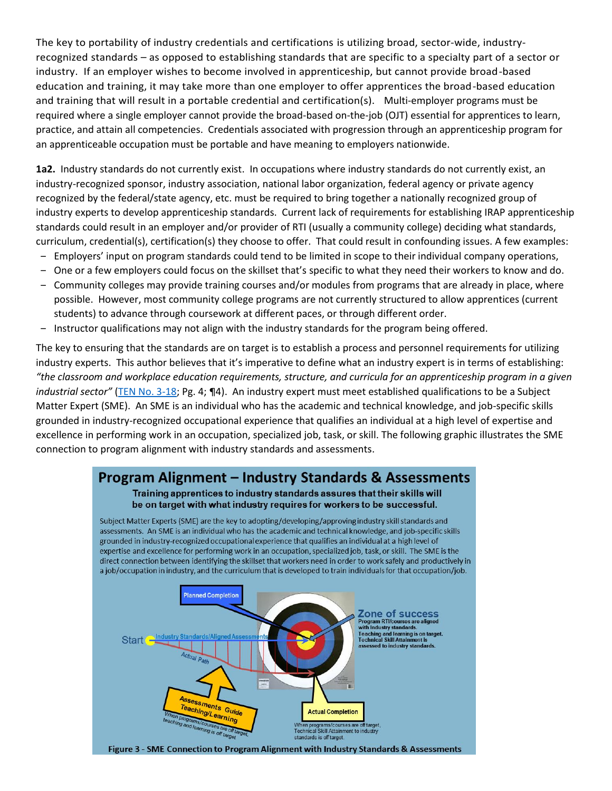The key to portability of industry credentials and certifications is utilizing broad, sector-wide, industryrecognized standards – as opposed to establishing standards that are specific to a specialty part of a sector or industry. If an employer wishes to become involved in apprenticeship, but cannot provide broad-based education and training, it may take more than one employer to offer apprentices the broad-based education and training that will result in a portable credential and certification(s). Multi-employer programs must be required where a single employer cannot provide the broad-based on-the-job (OJT) essential for apprentices to learn, practice, and attain all competencies. Credentials associated with progression through an apprenticeship program for an apprenticeable occupation must be portable and have meaning to employers nationwide.

**1a2.** Industry standards do not currently exist. In occupations where industry standards do not currently exist, an industry-recognized sponsor, industry association, national labor organization, federal agency or private agency recognized by the federal/state agency, etc. must be required to bring together a nationally recognized group of industry experts to develop apprenticeship standards. Current lack of requirements for establishing IRAP apprenticeship standards could result in an employer and/or provider of RTI (usually a community college) deciding what standards, curriculum, credential(s), certification(s) they choose to offer. That could result in confounding issues. A few examples:

- ‒ Employers' input on program standards could tend to be limited in scope to their individual company operations,
- ‒ One or a few employers could focus on the skillset that's specific to what they need their workers to know and do.
- ‒ Community colleges may provide training courses and/or modules from programs that are already in place, where possible. However, most community college programs are not currently structured to allow apprentices (current students) to advance through coursework at different paces, or through different order.
- ‒ Instructor qualifications may not align with the industry standards for the program being offered.

The key to ensuring that the standards are on target is to establish a process and personnel requirements for utilizing industry experts. This author believes that it's imperative to define what an industry expert is in terms of establishing: *"the classroom and workplace education requirements, structure, and curricula for an apprenticeship program in a given industrial sector"* [\(TEN No. 3-18;](https://wdr.doleta.gov/directives/corr_doc.cfm?docn=5367) Pg. 4; ¶4). An industry expert must meet established qualifications to be a Subject Matter Expert (SME). An SME is an individual who has the academic and technical knowledge, and job-specific skills grounded in industry-recognized occupational experience that qualifies an individual at a high level of expertise and excellence in performing work in an occupation, specialized job, task, or skill. The following graphic illustrates the SME connection to program alignment with industry standards and assessments.

# **Program Alignment – Industry Standards & Assessments** Training apprentices to industry standards assures that their skills will be on target with what industry requires for workers to be successful.

Subject Matter Experts (SME) are the key to adopting/developing/approving industry skill standards and assessments. An SME is an individual who has the academic and technical knowledge, and job-specific skills grounded in industry-recognized occupational experience that qualifies an individual at a high level of expertise and excellence for performing work in an occupation, specialized job, task, or skill. The SME is the direct connection between identifying the skillset that workers need in order to work safely and productively in a job/occupation in industry, and the curriculum that is developed to train individuals for that occupation/job.



Figure 3 - SME Connection to Program Alignment with Industry Standards & Assessments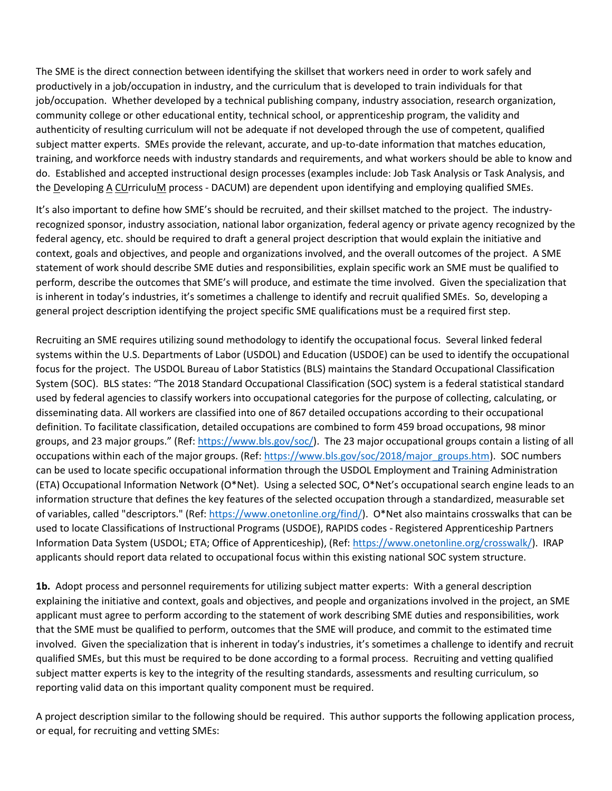The SME is the direct connection between identifying the skillset that workers need in order to work safely and productively in a job/occupation in industry, and the curriculum that is developed to train individuals for that job/occupation. Whether developed by a technical publishing company, industry association, research organization, community college or other educational entity, technical school, or apprenticeship program, the validity and authenticity of resulting curriculum will not be adequate if not developed through the use of competent, qualified subject matter experts. SMEs provide the relevant, accurate, and up-to-date information that matches education, training, and workforce needs with industry standards and requirements, and what workers should be able to know and do. Established and accepted instructional design processes (examples include: Job Task Analysis or Task Analysis, and the Developing A CUrriculuM process - DACUM) are dependent upon identifying and employing qualified SMEs.

It's also important to define how SME's should be recruited, and their skillset matched to the project. The industryrecognized sponsor, industry association, national labor organization, federal agency or private agency recognized by the federal agency, etc. should be required to draft a general project description that would explain the initiative and context, goals and objectives, and people and organizations involved, and the overall outcomes of the project. A SME statement of work should describe SME duties and responsibilities, explain specific work an SME must be qualified to perform, describe the outcomes that SME's will produce, and estimate the time involved. Given the specialization that is inherent in today's industries, it's sometimes a challenge to identify and recruit qualified SMEs. So, developing a general project description identifying the project specific SME qualifications must be a required first step.

Recruiting an SME requires utilizing sound methodology to identify the occupational focus. Several linked federal systems within the U.S. Departments of Labor (USDOL) and Education (USDOE) can be used to identify the occupational focus for the project. The USDOL Bureau of Labor Statistics (BLS) maintains the Standard Occupational Classification System (SOC). BLS states: "The 2018 Standard Occupational Classification (SOC) system is a federal statistical standard used by federal agencies to classify workers into occupational categories for the purpose of collecting, calculating, or disseminating data. All workers are classified into one of 867 detailed occupations according to their occupational definition. To facilitate classification, detailed occupations are combined to form 459 broad occupations, 98 minor groups, and 23 major groups." (Ref: [https://www.bls.gov/soc/\)](https://www.bls.gov/soc/). The 23 major occupational groups contain a listing of all occupations within each of the major groups. (Ref: [https://www.bls.gov/soc/2018/major\\_groups.htm\)](https://www.bls.gov/soc/2018/major_groups.htm). SOC numbers can be used to locate specific occupational information through the USDOL Employment and Training Administration (ETA) Occupational Information Network (O\*Net). Using a selected SOC, O\*Net's occupational search engine leads to an information structure that defines the key features of the selected occupation through a standardized, measurable set of variables, called "descriptors." (Ref: [https://www.onetonline.org/find/\)](https://www.onetonline.org/find/). O\*Net also maintains crosswalks that can be used to locate Classifications of Instructional Programs (USDOE), RAPIDS codes - Registered Apprenticeship Partners Information Data System (USDOL; ETA; Office of Apprenticeship), (Ref: [https://www.onetonline.org/crosswalk/\)](https://www.onetonline.org/crosswalk/). IRAP applicants should report data related to occupational focus within this existing national SOC system structure.

**1b.** Adopt process and personnel requirements for utilizing subject matter experts: With a general description explaining the initiative and context, goals and objectives, and people and organizations involved in the project, an SME applicant must agree to perform according to the statement of work describing SME duties and responsibilities, work that the SME must be qualified to perform, outcomes that the SME will produce, and commit to the estimated time involved. Given the specialization that is inherent in today's industries, it's sometimes a challenge to identify and recruit qualified SMEs, but this must be required to be done according to a formal process. Recruiting and vetting qualified subject matter experts is key to the integrity of the resulting standards, assessments and resulting curriculum, so reporting valid data on this important quality component must be required.

A project description similar to the following should be required. This author supports the following application process, or equal, for recruiting and vetting SMEs: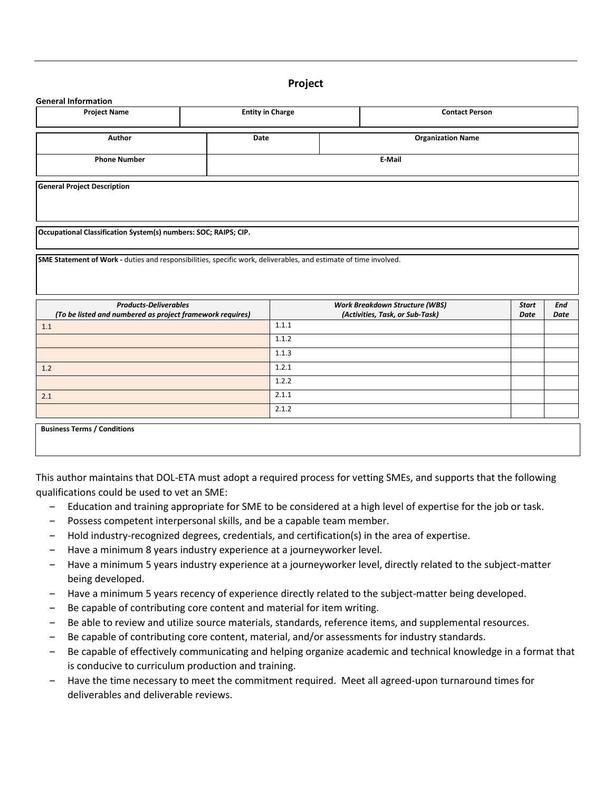#### **Project**

# **General Information Project Name Entity in Charge Entity in Charge Entity in Charge Entity in Charge Contact Person Author Date Organization Name Phone Number E-Mail General Project Description Occupational Classification System(s) numbers: SOC; RAIPS; CIP. SME Statement of Work -** duties and responsibilities, specific work, deliverables, and estimate of time involved. *Products-Deliverables (To be listed and numbered as project framework requires) Work Breakdown Structure (WBS) (Activities, Task, or Sub-Task) Start Date End Date* **1.1** 1.1.1.1 1.1.2 1.1.3 **1.2** 1.2.1 1.2.2 2.1  $2.1.1$ 2.1.2

**Business Terms / Conditions**

This author maintains that DOL-ETA must adopt a required process for vetting SMEs, and supports that the following qualifications could be used to vet an SME:

- ‒ Education and training appropriate for SME to be considered at a high level of expertise for the job or task.
- Possess competent interpersonal skills, and be a capable team member.
- ‒ Hold industry-recognized degrees, credentials, and certification(s) in the area of expertise.
- Have a minimum 8 years industry experience at a journeyworker level.
- ‒ Have a minimum 5 years industry experience at a journeyworker level, directly related to the subject-matter being developed.
- Have a minimum 5 years recency of experience directly related to the subject-matter being developed.
- ‒ Be capable of contributing core content and material for item writing.
- Be able to review and utilize source materials, standards, reference items, and supplemental resources.
- Be capable of contributing core content, material, and/or assessments for industry standards.
- ‒ Be capable of effectively communicating and helping organize academic and technical knowledge in a format that is conducive to curriculum production and training.
- ‒ Have the time necessary to meet the commitment required. Meet all agreed-upon turnaround times for deliverables and deliverable reviews.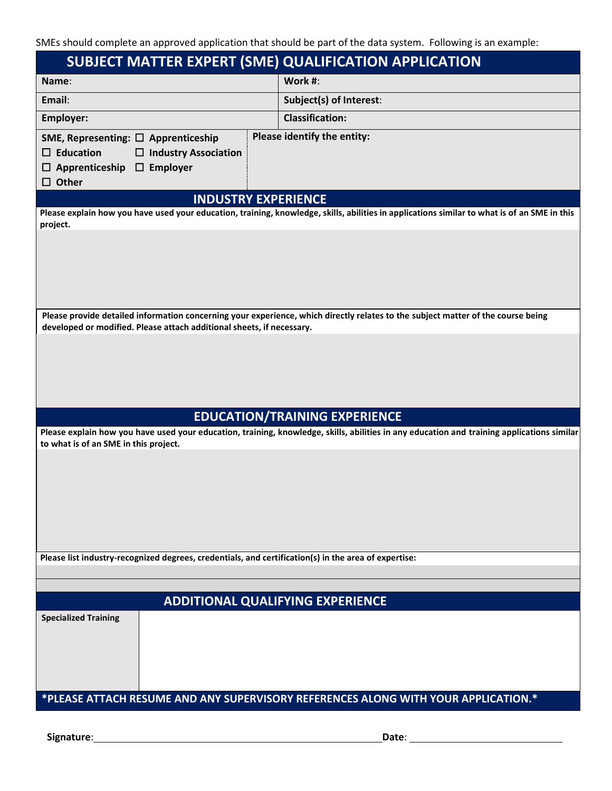SMEs should complete an approved application that should be part of the data system. Following is an example:

| Work #:<br>Subject(s) of Interest:<br><b>Classification:</b><br>Please identify the entity:                                                                                                               |  |  |
|-----------------------------------------------------------------------------------------------------------------------------------------------------------------------------------------------------------|--|--|
|                                                                                                                                                                                                           |  |  |
|                                                                                                                                                                                                           |  |  |
|                                                                                                                                                                                                           |  |  |
|                                                                                                                                                                                                           |  |  |
| <b>INDUSTRY EXPERIENCE</b>                                                                                                                                                                                |  |  |
| Please explain how you have used your education, training, knowledge, skills, abilities in applications similar to what is of an SME in this<br>project.                                                  |  |  |
|                                                                                                                                                                                                           |  |  |
| Please provide detailed information concerning your experience, which directly relates to the subject matter of the course being<br>developed or modified. Please attach additional sheets, if necessary. |  |  |
|                                                                                                                                                                                                           |  |  |
| <b>EDUCATION/TRAINING EXPERIENCE</b>                                                                                                                                                                      |  |  |
| Please explain how you have used your education, training, knowledge, skills, abilities in any education and training applications similar                                                                |  |  |
| Please list industry-recognized degrees, credentials, and certification(s) in the area of expertise:                                                                                                      |  |  |
|                                                                                                                                                                                                           |  |  |
| <b>ADDITIONAL QUALIFYING EXPERIENCE</b>                                                                                                                                                                   |  |  |
|                                                                                                                                                                                                           |  |  |
|                                                                                                                                                                                                           |  |  |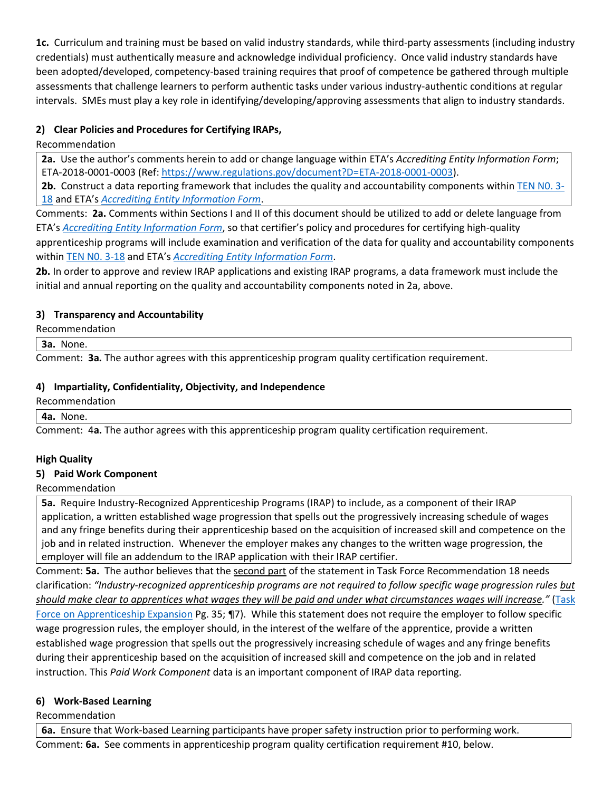**1c.** Curriculum and training must be based on valid industry standards, while third-party assessments (including industry credentials) must authentically measure and acknowledge individual proficiency. Once valid industry standards have been adopted/developed, competency-based training requires that proof of competence be gathered through multiple assessments that challenge learners to perform authentic tasks under various industry-authentic conditions at regular intervals. SMEs must play a key role in identifying/developing/approving assessments that align to industry standards.

# **2) Clear Policies and Procedures for Certifying IRAPs,**

# Recommendation

**2a.** Use the author's comments herein to add or change language within ETA's *Accrediting Entity Information Form*; ETA-2018-0001-0003 (Ref: [https://www.regulations.gov/document?D=ETA-2018-0001-0003\)](https://www.regulations.gov/document?D=ETA-2018-0001-0003).

**2b.** Construct a data reporting framework that includes the quality and accountability components withi[n TEN N0. 3-](https://wdr.doleta.gov/directives/corr_doc.cfm?docn=5367) [18](https://wdr.doleta.gov/directives/corr_doc.cfm?docn=5367) and ETA's *[Accrediting Entity Information Form](https://www.regulations.gov/document?D=ETA-2018-0001-0003)*.

Comments: **2a.** Comments within Sections I and II of this document should be utilized to add or delete language from ETA's *[Accrediting Entity Information Form](https://www.regulations.gov/document?D=ETA-2018-0001-0003)*, so that certifier's policy and procedures for certifying high-quality apprenticeship programs will include examination and verification of the data for quality and accountability components withi[n TEN N0. 3-18](https://wdr.doleta.gov/directives/corr_doc.cfm?docn=5367) and ETA's *[Accrediting Entity Information Form](https://www.regulations.gov/document?D=ETA-2018-0001-0003)*.

**2b.** In order to approve and review IRAP applications and existing IRAP programs, a data framework must include the initial and annual reporting on the quality and accountability components noted in 2a, above.

# **3) Transparency and Accountability**

Recommendation

**3a.** None.

Comment: **3a.** The author agrees with this apprenticeship program quality certification requirement.

# **4) Impartiality, Confidentiality, Objectivity, and Independence**

### Recommendation

#### **4a.** None.

Comment: 4**a.** The author agrees with this apprenticeship program quality certification requirement.

# **High Quality**

# **5) Paid Work Component**

# Recommendation

**5a.** Require Industry-Recognized Apprenticeship Programs (IRAP) to include, as a component of their IRAP application, a written established wage progression that spells out the progressively increasing schedule of wages and any fringe benefits during their apprenticeship based on the acquisition of increased skill and competence on the job and in related instruction. Whenever the employer makes any changes to the written wage progression, the employer will file an addendum to the IRAP application with their IRAP certifier.

Comment: **5a.** The author believes that the second part of the statement in Task Force Recommendation 18 needs clarification: *"Industry-recognized apprenticeship programs are not required to follow specific wage progression rules but should make clear to apprentices what wages they will be paid and under what circumstances wages will increase."* [\(Task](https://www.dol.gov/apprenticeship/docs/task-force-apprenticeship-expansion-report.pdf)  Force [on Apprenticeship Expansion](https://www.dol.gov/apprenticeship/docs/task-force-apprenticeship-expansion-report.pdf) Pg. 35; ¶7). While this statement does not require the employer to follow specific wage progression rules, the employer should, in the interest of the welfare of the apprentice, provide a written established wage progression that spells out the progressively increasing schedule of wages and any fringe benefits during their apprenticeship based on the acquisition of increased skill and competence on the job and in related instruction. This *Paid Work Component* data is an important component of IRAP data reporting.

# **6) Work-Based Learning**

Recommendation

**6a.** Ensure that Work-based Learning participants have proper safety instruction prior to performing work. Comment: **6a.** See comments in apprenticeship program quality certification requirement #10, below.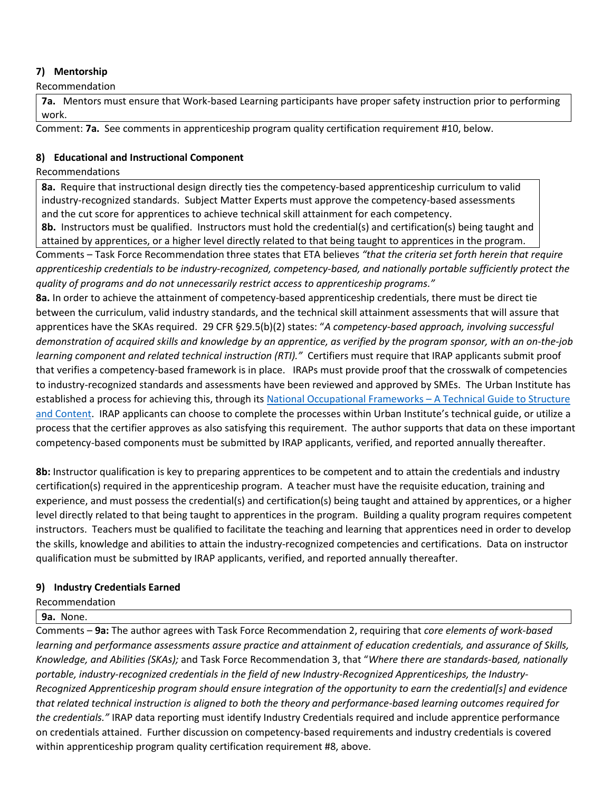## **7) Mentorship**

Recommendation

**7a.** Mentors must ensure that Work-based Learning participants have proper safety instruction prior to performing work.

Comment: **7a.** See comments in apprenticeship program quality certification requirement #10, below.

## **8) Educational and Instructional Component**

Recommendations

**8a.** Require that instructional design directly ties the competency-based apprenticeship curriculum to valid industry-recognized standards. Subject Matter Experts must approve the competency-based assessments and the cut score for apprentices to achieve technical skill attainment for each competency.

**8b.** Instructors must be qualified. Instructors must hold the credential(s) and certification(s) being taught and attained by apprentices, or a higher level directly related to that being taught to apprentices in the program.

Comments – Task Force Recommendation three states that ETA believes *"that the criteria set forth herein that require apprenticeship credentials to be industry-recognized, competency-based, and nationally portable sufficiently protect the quality of programs and do not unnecessarily restrict access to apprenticeship programs."*

**8a.** In order to achieve the attainment of competency-based apprenticeship credentials, there must be direct tie between the curriculum, valid industry standards, and the technical skill attainment assessments that will assure that apprentices have the SKAs required. 29 CFR §29.5(b)(2) states: "*A competency‐based approach, involving successful demonstration of acquired skills and knowledge by an apprentice, as verified by the program sponsor, with an on‐the‐job learning component and related technical instruction (RTI)."* Certifiers must require that IRAP applicants submit proof that verifies a competency-based framework is in place. IRAPs must provide proof that the crosswalk of competencies to industry-recognized standards and assessments have been reviewed and approved by SMEs. The Urban Institute has established a process for achieving this, through it[s National Occupational Frameworks](http://innovativeapprenticeship.org/wp-content/uploads/2017/02/NOF-tech-guide-with-appendices_revised.pdf) – A Technical Guide to Structure [and Content.](http://innovativeapprenticeship.org/wp-content/uploads/2017/02/NOF-tech-guide-with-appendices_revised.pdf) IRAP applicants can choose to complete the processes within Urban Institute's technical guide, or utilize a process that the certifier approves as also satisfying this requirement. The author supports that data on these important competency-based components must be submitted by IRAP applicants, verified, and reported annually thereafter.

**8b:** Instructor qualification is key to preparing apprentices to be competent and to attain the credentials and industry certification(s) required in the apprenticeship program. A teacher must have the requisite education, training and experience, and must possess the credential(s) and certification(s) being taught and attained by apprentices, or a higher level directly related to that being taught to apprentices in the program. Building a quality program requires competent instructors. Teachers must be qualified to facilitate the teaching and learning that apprentices need in order to develop the skills, knowledge and abilities to attain the industry-recognized competencies and certifications. Data on instructor qualification must be submitted by IRAP applicants, verified, and reported annually thereafter.

# **9) Industry Credentials Earned**

Recommendation

**9a.** None.

Comments – **9a:** The author agrees with Task Force Recommendation 2, requiring that *core elements of work-based learning and performance assessments assure practice and attainment of education credentials, and assurance of Skills, Knowledge, and Abilities (SKAs);* and Task Force Recommendation 3, that "*Where there are standards-based, nationally portable, industry-recognized credentials in the field of new Industry-Recognized Apprenticeships, the Industry-Recognized Apprenticeship program should ensure integration of the opportunity to earn the credential[s] and evidence that related technical instruction is aligned to both the theory and performance-based learning outcomes required for the credentials."* IRAP data reporting must identify Industry Credentials required and include apprentice performance on credentials attained. Further discussion on competency-based requirements and industry credentials is covered within apprenticeship program quality certification requirement #8, above.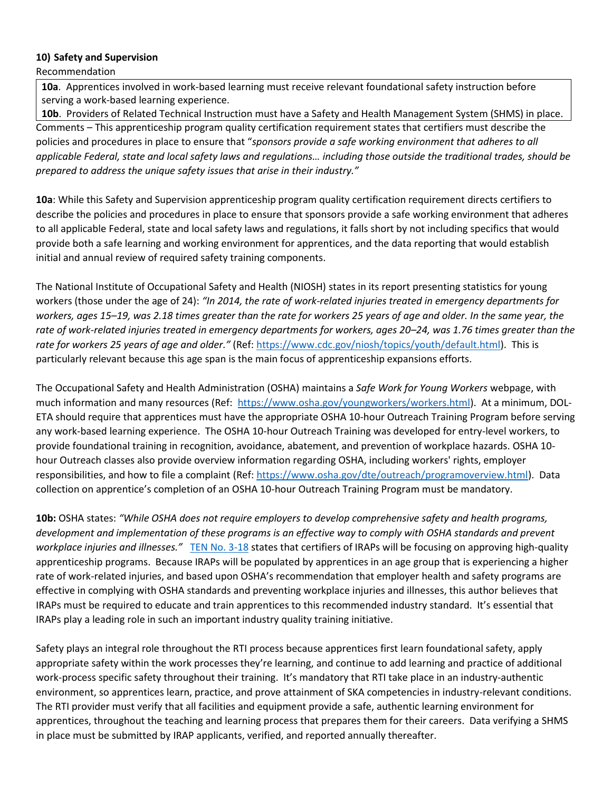#### **10) Safety and Supervision**

Recommendation

**10a**. Apprentices involved in work-based learning must receive relevant foundational safety instruction before serving a work-based learning experience.

**10b**. Providers of Related Technical Instruction must have a Safety and Health Management System (SHMS) in place. Comments – This apprenticeship program quality certification requirement states that certifiers must describe the policies and procedures in place to ensure that "*sponsors provide a safe working environment that adheres to all applicable Federal, state and local safety laws and regulations… including those outside the traditional trades, should be prepared to address the unique safety issues that arise in their industry."*

**10a**: While this Safety and Supervision apprenticeship program quality certification requirement directs certifiers to describe the policies and procedures in place to ensure that sponsors provide a safe working environment that adheres to all applicable Federal, state and local safety laws and regulations, it falls short by not including specifics that would provide both a safe learning and working environment for apprentices, and the data reporting that would establish initial and annual review of required safety training components.

The National Institute of Occupational Safety and Health (NIOSH) states in its report presenting statistics for young workers (those under the age of 24): *"In 2014, the rate of work-related injuries treated in emergency departments for workers, ages 15–19, was 2.18 times greater than the rate for workers 25 years of age and older. In the same year, the rate of work-related injuries treated in emergency departments for workers, ages 20–24, was 1.76 times greater than the rate for workers 25 years of age and older."* (Ref[: https://www.cdc.gov/niosh/topics/youth/default.html\)](https://www.cdc.gov/niosh/topics/youth/default.html). This is particularly relevant because this age span is the main focus of apprenticeship expansions efforts.

The Occupational Safety and Health Administration (OSHA) maintains a *Safe Work for Young Workers* webpage, with much information and many resources (Ref: [https://www.osha.gov/youngworkers/workers.html\)](https://www.osha.gov/youngworkers/workers.html). At a minimum, DOL-ETA should require that apprentices must have the appropriate OSHA 10-hour Outreach Training Program before serving any work-based learning experience. The OSHA 10-hour Outreach Training was developed for entry-level workers, to provide foundational training in recognition, avoidance, abatement, and prevention of workplace hazards. OSHA 10 hour Outreach classes also provide overview information regarding OSHA, including workers' rights, employer responsibilities, and how to file a complaint (Ref[: https://www.osha.gov/dte/outreach/programoverview.html\)](https://www.osha.gov/dte/outreach/programoverview.html). Data collection on apprentice's completion of an OSHA 10-hour Outreach Training Program must be mandatory.

**10b:** OSHA states: *"While OSHA does not require employers to develop comprehensive safety and health programs, development and implementation of these programs is an effective way to comply with OSHA standards and prevent workplace injuries and illnesses."* [TEN No. 3-18](https://wdr.doleta.gov/directives/corr_doc.cfm?docn=5367) states that certifiers of IRAPs will be focusing on approving high-quality apprenticeship programs. Because IRAPs will be populated by apprentices in an age group that is experiencing a higher rate of work-related injuries, and based upon OSHA's recommendation that employer health and safety programs are effective in complying with OSHA standards and preventing workplace injuries and illnesses, this author believes that IRAPs must be required to educate and train apprentices to this recommended industry standard. It's essential that IRAPs play a leading role in such an important industry quality training initiative.

Safety plays an integral role throughout the RTI process because apprentices first learn foundational safety, apply appropriate safety within the work processes they're learning, and continue to add learning and practice of additional work-process specific safety throughout their training. It's mandatory that RTI take place in an industry-authentic environment, so apprentices learn, practice, and prove attainment of SKA competencies in industry-relevant conditions. The RTI provider must verify that all facilities and equipment provide a safe, authentic learning environment for apprentices, throughout the teaching and learning process that prepares them for their careers. Data verifying a SHMS in place must be submitted by IRAP applicants, verified, and reported annually thereafter.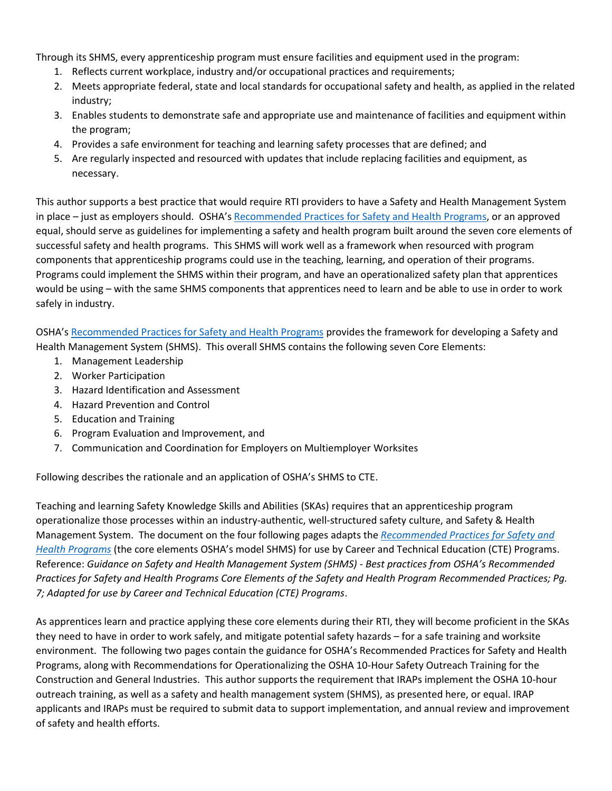Through its SHMS, every apprenticeship program must ensure facilities and equipment used in the program:

- 1. Reflects current workplace, industry and/or occupational practices and requirements;
- 2. Meets appropriate federal, state and local standards for occupational safety and health, as applied in the related industry;
- 3. Enables students to demonstrate safe and appropriate use and maintenance of facilities and equipment within the program;
- 4. Provides a safe environment for teaching and learning safety processes that are defined; and
- 5. Are regularly inspected and resourced with updates that include replacing facilities and equipment, as necessary.

This author supports a best practice that would require RTI providers to have a Safety and Health Management System in place – just as employers should. OSHA's [Recommended Practices for Safety and Health Programs,](file:///C:/Users/andre/Desktop/Comments/Recommended%20Practices%20for%20Safety%20and%20Health%20Programs%20in%20Construction) or an approved equal, should serve as guidelines for implementing a safety and health program built around the seven core elements of successful safety and health programs. This SHMS will work well as a framework when resourced with program components that apprenticeship programs could use in the teaching, learning, and operation of their programs. Programs could implement the SHMS within their program, and have an operationalized safety plan that apprentices would be using – with the same SHMS components that apprentices need to learn and be able to use in order to work safely in industry.

OSHA's [Recommended Practices for Safety and Health Programs](file:///C:/Users/Andrew%20N.%20Wermes/Desktop/Recommended%20Practices%20for%20Safety%20and%20Health%20Programs%20in%20Construction) provides the framework for developing a Safety and Health Management System (SHMS). This overall SHMS contains the following seven Core Elements:

- 1. Management Leadership
- 2. Worker Participation
- 3. Hazard Identification and Assessment
- 4. Hazard Prevention and Control
- 5. Education and Training
- 6. Program Evaluation and Improvement, and
- 7. Communication and Coordination for Employers on Multiemployer Worksites

Following describes the rationale and an application of OSHA's SHMS to CTE.

Teaching and learning Safety Knowledge Skills and Abilities (SKAs) requires that an apprenticeship program operationalize those processes within an industry-authentic, well-structured safety culture, and Safety & Health Management System. The document on the four following pages adapts the *[Recommended Practices for Safety and](file:///C:/Users/Andrew%20N.%20Wermes/Desktop/Recommended%20Practices%20for%20Safety%20and%20Health%20Programs%20in%20Construction)  [Health Programs](file:///C:/Users/Andrew%20N.%20Wermes/Desktop/Recommended%20Practices%20for%20Safety%20and%20Health%20Programs%20in%20Construction)* (the core elements OSHA's model SHMS) for use by Career and Technical Education (CTE) Programs. Reference: *Guidance on Safety and Health Management System (SHMS) - Best practices from OSHA's Recommended Practices for Safety and Health Programs Core Elements of the Safety and Health Program Recommended Practices; Pg. 7; Adapted for use by Career and Technical Education (CTE) Programs*.

As apprentices learn and practice applying these core elements during their RTI, they will become proficient in the SKAs they need to have in order to work safely, and mitigate potential safety hazards – for a safe training and worksite environment. The following two pages contain the guidance for OSHA's Recommended Practices for Safety and Health Programs, along with Recommendations for Operationalizing the OSHA 10-Hour Safety Outreach Training for the Construction and General Industries. This author supports the requirement that IRAPs implement the OSHA 10-hour outreach training, as well as a safety and health management system (SHMS), as presented here, or equal. IRAP applicants and IRAPs must be required to submit data to support implementation, and annual review and improvement of safety and health efforts.